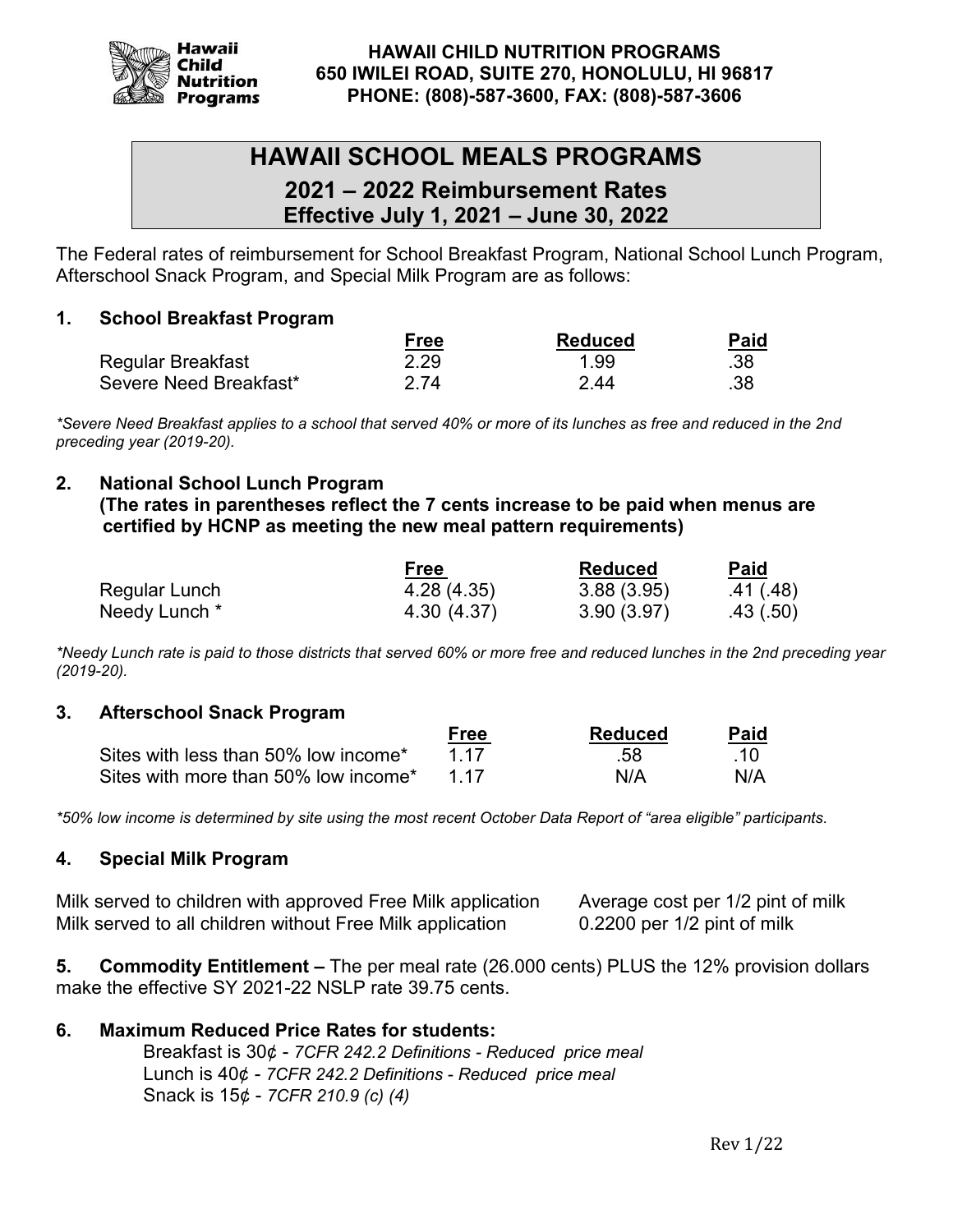

# **HAWAII SCHOOL MEALS PROGRAMS**

**2021 – 2022 Reimbursement Rates Effective July 1, 2021 – June 30, 2022**

The Federal rates of reimbursement for School Breakfast Program, National School Lunch Program, Afterschool Snack Program, and Special Milk Program are as follows:

# **1. School Breakfast Program**

|                        | <b>Free</b> | Reduced | Paid |
|------------------------|-------------|---------|------|
| Regular Breakfast      | 2.29        | 1.99    | .38  |
| Severe Need Breakfast* | 2 74        | 2 44    | .38  |

*\*Severe Need Breakfast applies to a school that served 40% or more of its lunches as free and reduced in the 2nd preceding year (2019-20).*

# **2. National School Lunch Program**

**(The rates in parentheses reflect the 7 cents increase to be paid when menus are certified by HCNP as meeting the new meal pattern requirements)** 

|               | Free        | <b>Reduced</b> | Paid      |
|---------------|-------------|----------------|-----------|
| Regular Lunch | 4.28 (4.35) | 3.88(3.95)     | .41 (.48) |
| Needy Lunch * | 4.30 (4.37) | 3.90(3.97)     | .43(.50)  |

*\*Needy Lunch rate is paid to those districts that served 60% or more free and reduced lunches in the 2nd preceding year (2019-20).*

#### **3. Afterschool Snack Program**

|                                           | Free | <b>Reduced</b> | <b>Paid</b> |
|-------------------------------------------|------|----------------|-------------|
| Sites with less than 50% low income*      | 1 17 | -58            |             |
| Sites with more than 50% low income* $\,$ | 1 17 | N/A            | N/A         |

*\*50% low income is determined by site using the most recent October Data Report of "area eligible" participants.*

# **4. Special Milk Program**

Milk served to children with approved Free Milk application Average cost per 1/2 pint of milk Milk served to all children without Free Milk application 0.2200 per 1/2 pint of milk

**5. Commodity Entitlement –** The per meal rate (26.000 cents) PLUS the 12% provision dollars make the effective SY 2021-22 NSLP rate 39.75 cents.

# **6. Maximum Reduced Price Rates for students:**

Breakfast is 30¢ - *7CFR 242.2 Definitions - Reduced price meal* Lunch is 40¢ - *7CFR 242.2 Definitions - Reduced price meal* Snack is 15¢ - *7CFR 210.9 (c) (4)*